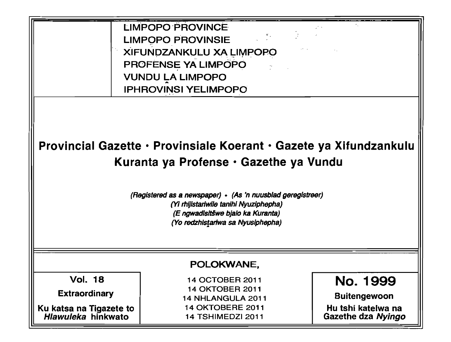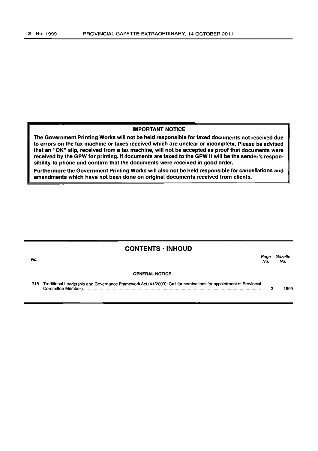#### IMPORTANT NOTICE

The Government Printing Works will not be held responsible for faxed documents not received due to errors on the fax machine or faxes received which are unclear or incomplete. Please be advised that an "OK" slip, received from a fax machine, will not be accepted as proof that documents were received by the GPW for printing. If documents are faxed to the GPW it will be the sender's responsibility to phone and confirm that the documents were received in good order.

Furthermore the Government Printing Works will also not be held responsible for cancellations and amendments which have not been done on original documents received from clients.

|     | <b>CONTENTS · INHOUD</b>                                                                                          |             |                |
|-----|-------------------------------------------------------------------------------------------------------------------|-------------|----------------|
| No. |                                                                                                                   | Page<br>No. | Gazette<br>No. |
|     | <b>GENERAL NOTICE</b>                                                                                             |             |                |
| 318 | Traditional Leadership and Governance Framework Act (41/2003): Call for nominations for appointment of Provincial | з           | 1999           |